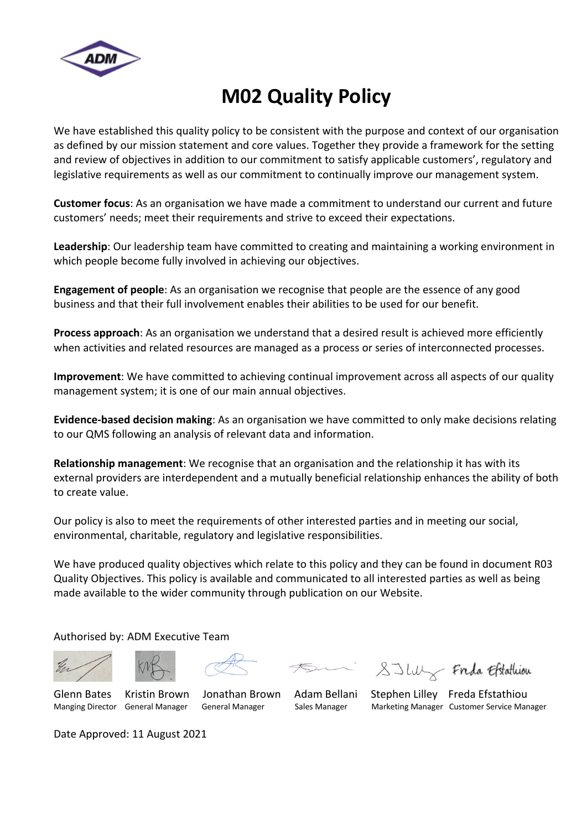

## **M02 Quality Policy**

We have established this quality policy to be consistent with the purpose and context of our organisation as defined by our mission statement and core values. Together they provide a framework for the setting and review of objectives in addition to our commitment to satisfy applicable customers', regulatory and legislative requirements as well as our commitment to continually improve our management system.

**Customer focus**: As an organisation we have made a commitment to understand our current and future customers' needs; meet their requirements and strive to exceed their expectations.

**Leadership**: Our leadership team have committed to creating and maintaining a working environment in which people become fully involved in achieving our objectives.

**Engagement of people**: As an organisation we recognise that people are the essence of any good business and that their full involvement enables their abilities to be used for our benefit.

**Process approach**: As an organisation we understand that a desired result is achieved more efficiently when activities and related resources are managed as a process or series of interconnected processes.

**Improvement**: We have committed to achieving continual improvement across all aspects of our quality management system; it is one of our main annual objectives.

**Evidence-based decision making**: As an organisation we have committed to only make decisions relating to our QMS following an analysis of relevant data and information.

**Relationship management**: We recognise that an organisation and the relationship it has with its external providers are interdependent and a mutually beneficial relationship enhances the ability of both to create value.

Our policy is also to meet the requirements of other interested parties and in meeting our social, environmental, charitable, regulatory and legislative responsibilities.

We have produced quality objectives which relate to this policy and they can be found in document R03 Quality Objectives. This policy is available and communicated to all interested parties as well as being made available to the wider community through publication on our Website.

## Authorised by: ADM Executive Team





8JLUS Freda Efstatlion

Glenn Bates Kristin Brown Jonathan Brown Adam Bellani Stephen Lilley Freda Efstathiou Manging Director General Manager General Manager Sales Manager Marketing Manager Customer Service Manager

Date Approved: 11 August 2021